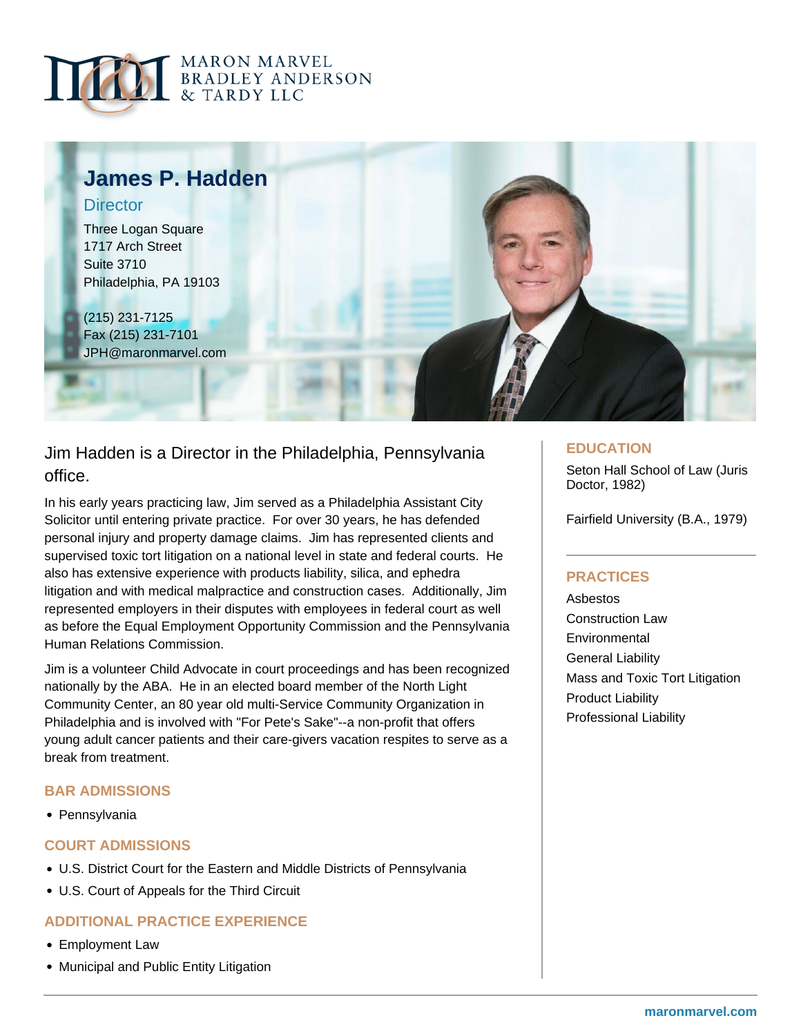



# Jim Hadden is a Director in the Philadelphia, Pennsylvania office.

In his early years practicing law, Jim served as a Philadelphia Assistant City Solicitor until entering private practice. For over 30 years, he has defended personal injury and property damage claims. Jim has represented clients and supervised toxic tort litigation on a national level in state and federal courts. He also has extensive experience with products liability, silica, and ephedra litigation and with medical malpractice and construction cases. Additionally, Jim represented employers in their disputes with employees in federal court as well as before the Equal Employment Opportunity Commission and the Pennsylvania Human Relations Commission.

Jim is a volunteer Child Advocate in court proceedings and has been recognized nationally by the ABA. He in an elected board member of the North Light Community Center, an 80 year old multi-Service Community Organization in Philadelphia and is involved with "For Pete's Sake"--a non-profit that offers young adult cancer patients and their care-givers vacation respites to serve as a break from treatment.

## **BAR ADMISSIONS**

• Pennsylvania

## **COURT ADMISSIONS**

- U.S. District Court for the Eastern and Middle Districts of Pennsylvania
- U.S. Court of Appeals for the Third Circuit

### **ADDITIONAL PRACTICE EXPERIENCE**

- Employment Law
- Municipal and Public Entity Litigation

#### **EDUCATION**

Seton Hall School of Law (Juris Doctor, 1982)

Fairfield University (B.A., 1979)

## **PRACTICES**

Asbestos Construction Law **Environmental** General Liability Mass and Toxic Tort Litigation Product Liability Professional Liability